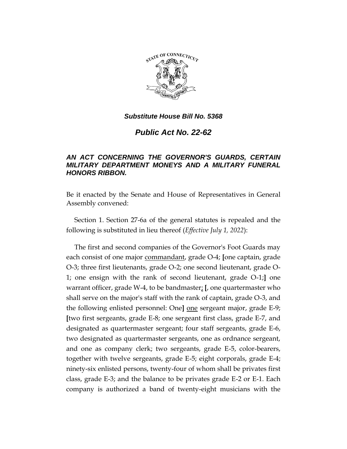

### *Substitute House Bill No. 5368*

# *Public Act No. 22-62*

## *AN ACT CONCERNING THE GOVERNOR'S GUARDS, CERTAIN MILITARY DEPARTMENT MONEYS AND A MILITARY FUNERAL HONORS RIBBON.*

Be it enacted by the Senate and House of Representatives in General Assembly convened:

Section 1. Section 27-6a of the general statutes is repealed and the following is substituted in lieu thereof (*Effective July 1, 2022*):

The first and second companies of the Governor's Foot Guards may each consist of one major commandant, grade O-4; **[**one captain, grade O-3; three first lieutenants, grade O-2; one second lieutenant, grade O-1; one ensign with the rank of second lieutenant, grade O-1;**]** one warrant officer, grade W-4, to be bandmaster; **[**, one quartermaster who shall serve on the major's staff with the rank of captain, grade O-3, and the following enlisted personnel: One**]** one sergeant major, grade E-9; **[**two first sergeants, grade E-8; one sergeant first class, grade E-7, and designated as quartermaster sergeant; four staff sergeants, grade E-6, two designated as quartermaster sergeants, one as ordnance sergeant, and one as company clerk; two sergeants, grade E-5, color-bearers, together with twelve sergeants, grade E-5; eight corporals, grade E-4; ninety-six enlisted persons, twenty-four of whom shall be privates first class, grade E-3; and the balance to be privates grade E-2 or E-1. Each company is authorized a band of twenty-eight musicians with the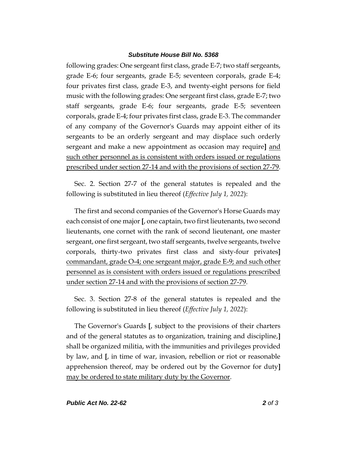#### *Substitute House Bill No. 5368*

following grades: One sergeant first class, grade E-7; two staff sergeants, grade E-6; four sergeants, grade E-5; seventeen corporals, grade E-4; four privates first class, grade E-3, and twenty-eight persons for field music with the following grades: One sergeant first class, grade E-7; two staff sergeants, grade E-6; four sergeants, grade E-5; seventeen corporals, grade E-4; four privates first class, grade E-3. The commander of any company of the Governor's Guards may appoint either of its sergeants to be an orderly sergeant and may displace such orderly sergeant and make a new appointment as occasion may require**]** and such other personnel as is consistent with orders issued or regulations prescribed under section 27-14 and with the provisions of section 27-79.

Sec. 2. Section 27-7 of the general statutes is repealed and the following is substituted in lieu thereof (*Effective July 1, 2022*):

The first and second companies of the Governor's Horse Guards may each consist of one major **[**, one captain, two first lieutenants, two second lieutenants, one cornet with the rank of second lieutenant, one master sergeant, one first sergeant, two staff sergeants, twelve sergeants, twelve corporals, thirty-two privates first class and sixty-four privates**]** commandant, grade O-4; one sergeant major, grade E-9; and such other personnel as is consistent with orders issued or regulations prescribed under section 27-14 and with the provisions of section 27-79.

Sec. 3. Section 27-8 of the general statutes is repealed and the following is substituted in lieu thereof (*Effective July 1, 2022*):

The Governor's Guards **[**, subject to the provisions of their charters and of the general statutes as to organization, training and discipline,**]** shall be organized militia, with the immunities and privileges provided by law, and **[**, in time of war, invasion, rebellion or riot or reasonable apprehension thereof, may be ordered out by the Governor for duty**]** may be ordered to state military duty by the Governor.